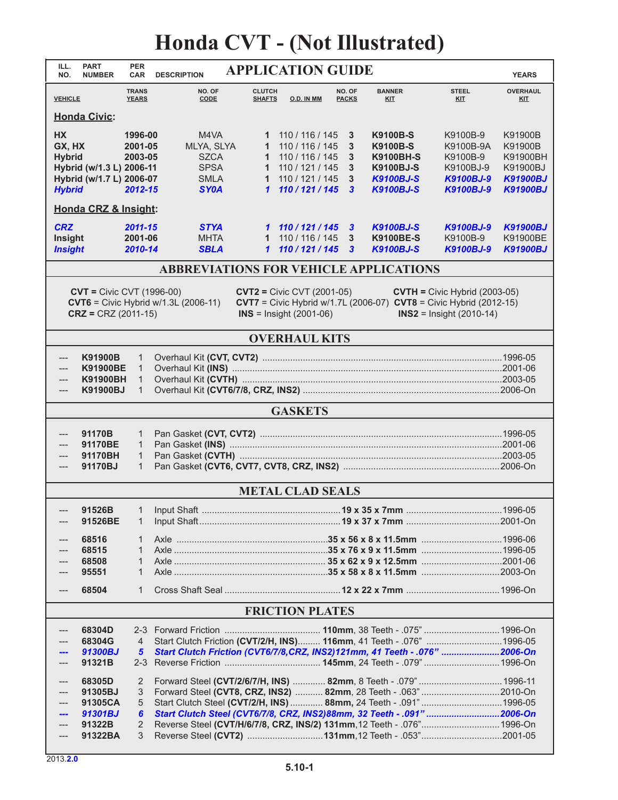## **Honda CVT - (Not Illustrated)**

| ILL.<br>NO.                                                                                                                                                                                                                                                                                                        | <b>PART</b><br><b>NUMBER</b>                              | <b>PER</b><br><b>CAR</b>                          | <b>DESCRIPTION</b>                                                                                                                                                                                                                                                                 |                                                 | <b>APPLICATION GUIDE</b>                                                 |                        |                                                                            |                                                | <b>YEARS</b>                                   |  |  |
|--------------------------------------------------------------------------------------------------------------------------------------------------------------------------------------------------------------------------------------------------------------------------------------------------------------------|-----------------------------------------------------------|---------------------------------------------------|------------------------------------------------------------------------------------------------------------------------------------------------------------------------------------------------------------------------------------------------------------------------------------|-------------------------------------------------|--------------------------------------------------------------------------|------------------------|----------------------------------------------------------------------------|------------------------------------------------|------------------------------------------------|--|--|
| <b>VEHICLE</b>                                                                                                                                                                                                                                                                                                     |                                                           | <b>TRANS</b><br><b>YEARS</b>                      | NO. OF<br>CODE                                                                                                                                                                                                                                                                     | <b>CLUTCH</b><br><b>SHAFTS</b>                  | O.D. IN MM                                                               | NO. OF<br><b>PACKS</b> | <b>BANNER</b><br><b>KIT</b>                                                | <b>STEEL</b><br><b>KIT</b>                     | <b>OVERHAUL</b><br><u>KIT</u>                  |  |  |
| <b>Honda Civic:</b>                                                                                                                                                                                                                                                                                                |                                                           |                                                   |                                                                                                                                                                                                                                                                                    |                                                 |                                                                          |                        |                                                                            |                                                |                                                |  |  |
| <b>HX</b><br>GX, HX<br><b>Hybrid</b>                                                                                                                                                                                                                                                                               | Hybrid (w/1.3 L) 2006-11                                  | 1996-00<br>2001-05<br>2003-05                     | M4VA<br>MLYA, SLYA<br><b>SZCA</b><br><b>SPSA</b>                                                                                                                                                                                                                                   | $\mathbf{1}$<br>$\mathbf 1$<br>1<br>$\mathbf 1$ | 110 / 116 / 145<br>110 / 116 / 145<br>110 / 116 / 145<br>110 / 121 / 145 | 3<br>3<br>3<br>3       | <b>K9100B-S</b><br><b>K9100B-S</b><br><b>K9100BH-S</b><br><b>K9100BJ-S</b> | K9100B-9<br>K9100B-9A<br>K9100B-9<br>K9100BJ-9 | K91900B<br>K91900B<br>K91900BH<br>K91900BJ     |  |  |
| <b>Hybrid</b>                                                                                                                                                                                                                                                                                                      | Hybrid (w/1.7 L) 2006-07                                  | 2012-15                                           | <b>SMLA</b><br><b>SY0A</b>                                                                                                                                                                                                                                                         | $\mathbf{1}$<br>$\mathbf{\mathbf{1}}$           | 110 / 121 / 145<br>110/121/145                                           | 3<br>$\mathbf{3}$      | <b>K9100BJ-S</b><br><b>K9100BJ-S</b>                                       | <b>K9100BJ-9</b><br>K9100BJ-9                  | <b>K91900BJ</b><br><b>K91900BJ</b>             |  |  |
| Honda CRZ & Insight:                                                                                                                                                                                                                                                                                               |                                                           |                                                   |                                                                                                                                                                                                                                                                                    |                                                 |                                                                          |                        |                                                                            |                                                |                                                |  |  |
| <b>CRZ</b><br>Insight<br><b>Insight</b>                                                                                                                                                                                                                                                                            |                                                           | 2011-15<br>2001-06<br>2010-14                     | <b>STYA</b><br><b>MHTA</b><br><b>SBLA</b>                                                                                                                                                                                                                                          | $\mathbf{1}$<br>$\mathbf{1}$                    | 1 110/121/145<br>110 / 116 / 145<br>110/121/145                          | 3<br>3<br>3            | <b>K9100BJ-S</b><br><b>K9100BE-S</b><br><b>K9100BJ-S</b>                   | <b>K9100BJ-9</b><br>K9100B-9<br>K9100BJ-9      | <b>K91900BJ</b><br>K91900BE<br><b>K91900BJ</b> |  |  |
| <b>ABBREVIATIONS FOR VEHICLE APPLICATIONS</b>                                                                                                                                                                                                                                                                      |                                                           |                                                   |                                                                                                                                                                                                                                                                                    |                                                 |                                                                          |                        |                                                                            |                                                |                                                |  |  |
| $CVT = Civic CVT (1996-00)$<br>$CVT2 = Civic CVT (2001-05)$<br>$CVTH = Civic Hybrid (2003-05)$<br><b>CVT6</b> = Civic Hybrid $w/1.3L$ (2006-11)<br><b>CVT7</b> = Civic Hybrid w/1.7L (2006-07) $CVT8$ = Civic Hybrid (2012-15)<br>$CRZ = CRZ (2011-15)$<br>$INS =$ Insight (2001-06)<br>$INS2 =$ Insight (2010-14) |                                                           |                                                   |                                                                                                                                                                                                                                                                                    |                                                 |                                                                          |                        |                                                                            |                                                |                                                |  |  |
|                                                                                                                                                                                                                                                                                                                    |                                                           |                                                   |                                                                                                                                                                                                                                                                                    |                                                 | <b>OVERHAUL KITS</b>                                                     |                        |                                                                            |                                                |                                                |  |  |
| ---<br>---<br>---                                                                                                                                                                                                                                                                                                  | K91900B<br><b>K91900BE</b><br><b>K91900BH</b><br>K91900BJ | 1<br>$\mathbf{1}$<br>$\mathbf{1}$<br>$\mathbf{1}$ |                                                                                                                                                                                                                                                                                    |                                                 |                                                                          |                        |                                                                            |                                                |                                                |  |  |
| <b>GASKETS</b>                                                                                                                                                                                                                                                                                                     |                                                           |                                                   |                                                                                                                                                                                                                                                                                    |                                                 |                                                                          |                        |                                                                            |                                                |                                                |  |  |
| $---$<br>---<br>---                                                                                                                                                                                                                                                                                                | 91170B<br>91170BE<br>91170BH<br>91170BJ                   | 1<br>$\mathbf{1}$<br>$\mathbf{1}$<br>$\mathbf{1}$ |                                                                                                                                                                                                                                                                                    |                                                 |                                                                          |                        |                                                                            |                                                |                                                |  |  |
|                                                                                                                                                                                                                                                                                                                    |                                                           |                                                   |                                                                                                                                                                                                                                                                                    |                                                 | <b>METAL CLAD SEALS</b>                                                  |                        |                                                                            |                                                |                                                |  |  |
|                                                                                                                                                                                                                                                                                                                    | 91526B<br>91526BE                                         | 1<br>1                                            | Input Shaft                                                                                                                                                                                                                                                                        |                                                 |                                                                          |                        | $19 \times 35 \times 7$ mm                                                 |                                                | .1996-05                                       |  |  |
|                                                                                                                                                                                                                                                                                                                    | 68516<br>68515<br>68508<br>95551                          | 1<br>$\mathbf{1}$<br>$\mathbf 1$<br>$\mathbf{1}$  |                                                                                                                                                                                                                                                                                    |                                                 |                                                                          |                        |                                                                            |                                                |                                                |  |  |
| ---                                                                                                                                                                                                                                                                                                                | 68504                                                     | $\mathbf{1}$                                      |                                                                                                                                                                                                                                                                                    |                                                 |                                                                          |                        |                                                                            |                                                |                                                |  |  |
|                                                                                                                                                                                                                                                                                                                    |                                                           |                                                   |                                                                                                                                                                                                                                                                                    |                                                 | <b>FRICTION PLATES</b>                                                   |                        |                                                                            |                                                |                                                |  |  |
|                                                                                                                                                                                                                                                                                                                    | 68304D<br>68304G                                          | 4                                                 | Start Clutch Friction (CVT/2/H, INS) 116mm, 41 Teeth - .076"  1996-05                                                                                                                                                                                                              |                                                 |                                                                          |                        |                                                                            |                                                |                                                |  |  |
|                                                                                                                                                                                                                                                                                                                    | 91300BJ<br>91321B                                         | $\sqrt{5}$<br>$2 - 3$                             | Start Clutch Friction (CVT6/7/8,CRZ, INS2)121mm, 41 Teeth - .076" 2006-On                                                                                                                                                                                                          |                                                 |                                                                          |                        |                                                                            |                                                |                                                |  |  |
|                                                                                                                                                                                                                                                                                                                    | 68305D<br>91305BJ<br>91305CA<br>91301BJ                   | 2<br>3<br>5<br>6                                  | Forward Steel (CVT/2/6/7/H, INS)  82mm, 8 Teeth - .079"  1996-11<br>Forward Steel (CVT8, CRZ, INS2)  82mm, 28 Teeth - .063" 2010-On<br>Start Clutch Steel (CVT/2/H, INS)  88mm, 24 Teeth - .091" 1996-05<br>Start Clutch Steel (CVT6/7/8, CRZ, INS2)88mm, 32 Teeth - .091" 2006-On |                                                 |                                                                          |                        |                                                                            |                                                |                                                |  |  |
|                                                                                                                                                                                                                                                                                                                    | 91322B<br>91322BA                                         | 2<br>3                                            | Reverse Steel (CVT/H/6/7/8, CRZ, INS/2) 131mm, 12 Teeth - .076" 1996-On                                                                                                                                                                                                            |                                                 |                                                                          |                        |                                                                            |                                                |                                                |  |  |